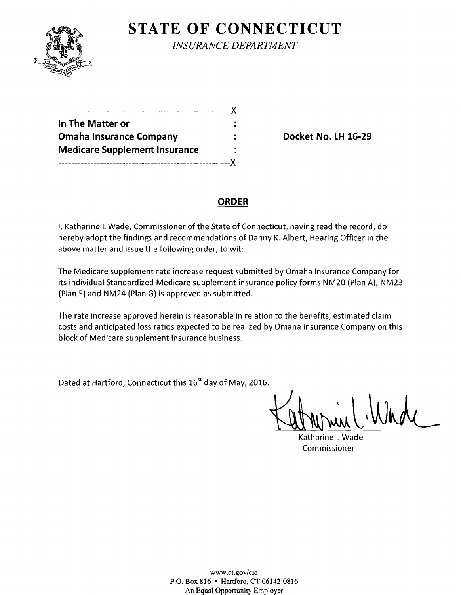

**STATE OF CONNECTICUT** *INSURANCE DEPARTMENT* 

| In The Matter or                     |   |
|--------------------------------------|---|
| <b>Omaha Insurance Company</b>       |   |
| <b>Medicare Supplement Insurance</b> |   |
| -------------------------------      | X |

**Docket No. LH 16-29** 

# **ORDER**

I, Katharine L Wade, Commissioner of the State of Connecticut, having read the record, do hereby adopt the findings and recommendations of Danny K. Albert, Hearing Officer in the above matter and issue the following order, to wit:

The Medicare supplement rate increase request submitted by Omaha Insurance Company for its individual Standardized Medicare supplement insurance policy forms NM20 (Plan A), NM23 (Plan F) and NM24 (Plan G) is approved as submitted.

The rate increase approved herein is reasonable in relation to the benefits, estimated claim costs and anticipated loss ratios expected to be realized by Omaha Insurance Company on this block of Medicare supplement insurance business.

Dated at Hartford, Connecticut this *16st* day of May, 2016.

 $K$ utmoniel Wade

Katharine LWade Commissioner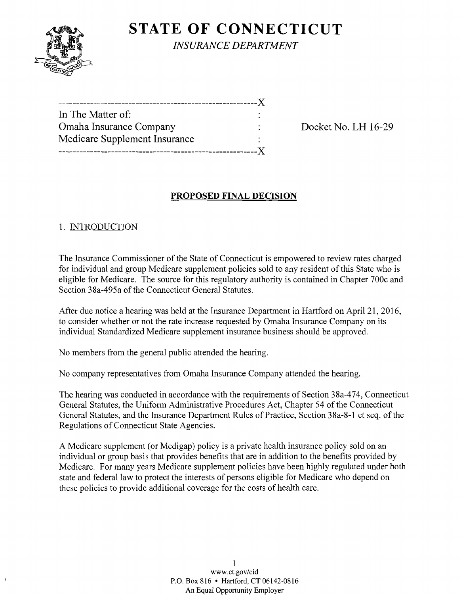

**STATE OF CONNECTICUT** *INSURANCE DEPARTMENT* 

| --------------------------------    |  |
|-------------------------------------|--|
| In The Matter of:                   |  |
| Omaha Insurance Company             |  |
| Medicare Supplement Insurance       |  |
| ----------------------------------X |  |
|                                     |  |

Docket No. LH 16-29

## **PROPOSED FINAL DECISION**

### 1. INTRODUCTION

The Insurance Commissioner of the State of Connecticut is empowered to review rates charged for individual and group Medicare supplement policies sold to any resident of this State who is eligible for Medicare. The source for this regulatory authority is contained in Chapter 700c and Section 38a-495a of the Connecticut General Statutes.

After due notice a hearing was held at the Insurance Department in Hartford on April 21, 2016, to consider whether or not the rate increase requested by Omaha Insurance Company on its individual Standardized Medicare supplement insurance business should be approved.

No members from the general public attended the hearing.

No company representatives from Omaha Insurance Company attended the hearing.

The hearing was conducted in accordance with the requirements of Section 38a-474, Connecticut General Statutes, the Uniform Administrative Procedures Act, Chapter 54 of the Connecticut General Statutes, and the Insurance Department Rules of Practice, Section 38a-8-1 et seq. of the Regulations of Connecticut State Agencies.

A Medicare supplement (or Medigap) policy is a private health insurance policy sold on an individual or group basis that provides benefits that are in addition to the benefits provided by Medicare. For many years Medicare supplement policies have been highly regulated under both state and federal law to protect the interests of persons eligible for Medicare who depend on these policies to provide additional coverage for the costs of health care.

> 1 www.ct.gov/cid P.O. Box 816 • Hartford, CT 06142-0816 An Equal Opportunity Employer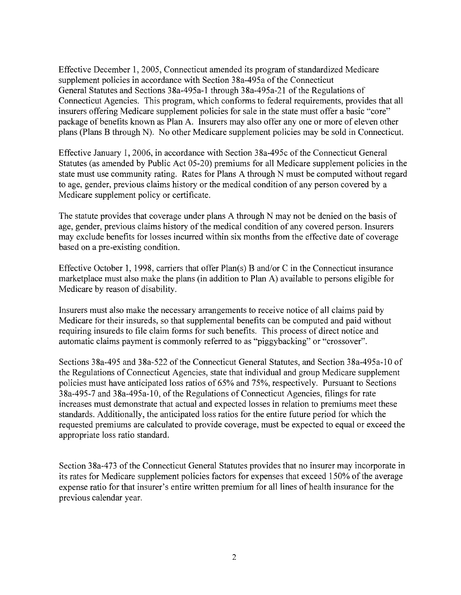Effective December 1, 2005, Connecticut amended its program of standardized Medicare supplement policies in accordance with Section 38a-495a of the Connecticut General Statutes and Sections 38a-495a-1 through 38a-495a-21 of the Regulations of Connecticut Agencies. This program, which conforms to federal requirements, provides that all insurers offering Medicare supplement policies for sale in the state must offer a basic "core" package of benefits known as Plan A. Insurers may also offer anyone or more of eleven other plans (Plans B through N). No other Medicare supplement policies may be sold in Connecticut.

Effective January 1,2006, in accordance with Section 38a-495c of the Connecticut General Statutes (as amended by Public Act 05-20) premiums for all Medicare supplement policies in the state must use community rating. Rates for Plans A through N must be computed without regard to age, gender, previous claims history or the medical condition of any person covered by a Medicare supplement policy or certificate.

The statute provides that coverage under plans A through N may not be denied on the basis of age, gender, previous claims history of the medical condition of any covered person. Insurers may exclude benefits for losses incurred within six months from the effective date of coverage based on a pre-existing condition.

Effective October 1, 1998, carriers that offer  $Plan(s)$  B and/or C in the Connecticut insurance marketplace must also make the plans (in addition to Plan A) available to persons eligible for Medicare by reason of disability.

Insurers must also make the necessary arrangements to receive notice of all claims paid by Medicare for their insureds, so that supplemental benefits can be computed and paid without requiring insureds to file claim forms for such benefits. This process of direct notice and automatic claims payment is commonly referred to as "piggybacking" or "crossover".

Sections 38a-495 and 38a-522 of the Connecticut General Statutes, and Section 38a-495a-10 of the Regulations of Connecticut Agencies, state that individual and group Medicare supplement policies must have anticipated loss ratios of 65% and 75%, respectively. Pursuant to Sections 38a-495-7 and 38a-495a-10, of the Regulations of Connecticut Agencies, filings for rate increases must demonstrate that actual and expected losses in relation to premiums meet these standards. Additionally, the anticipated loss ratios for the entire future period for which the requested premiums are calculated to provide coverage, must be expected to equal or exceed the appropriate loss ratio standard.

Section 38a-473 of the Connecticut General Statutes provides that no insurer may incorporate in its rates for Medicare supplement policies factors for expenses that exceed 150% of the average expense ratio for that insurer's entire written premium for all lines of health insurance for the previous calendar year.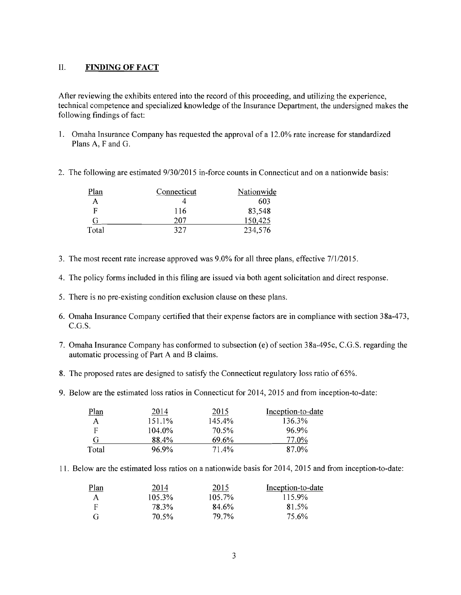### II. **FINDING OF FACT**

After reviewing the exhibits entered into the record ofthis proceeding, and utilizing the experience, technical competence and specialized knowledge of the Insurance Department, the undersigned makes the following findings of fact:

- 1. Omaha Insurance Company has requested the approval of a 12.0% rate increase for standardized Plans A, F and G.
- 2. The following are estimated  $9/30/2015$  in-force counts in Connecticut and on a nationwide basis:

| Plan  | Connecticut | Nationwide |
|-------|-------------|------------|
|       |             | 603        |
| F     | 116         | 83,548     |
| G     | 207         | 150,425    |
| Total | 327         | 234,576    |

- 3. The most recent rate increase approved was 9.0% for all three plans, effective 7/1/2015.
- 4. The policy forms included in this filing are issued via both agent solicitation and direct response.
- 5. There is no pre-existing condition exclusion clause on these plans.
- 6. Omaha Insurance Company certified that their expense factors are in compliance with section 38a-473, C.G.S.
- 7. Omaha Insurance Company has conformed to subsection (e) of section 38a-495c, C.G.S. regarding the automatic processing of Part A and B claims.
- 8. The proposed rates are designed to satisfy the Connecticut regulatory loss ratio of 65%.
- 9. Below are the estimated loss ratios in Connecticut for 2014, 2015 and from inception-to-date:

| Plan  | 2014   | 2015   | Inception-to-date |
|-------|--------|--------|-------------------|
| A     | 151.1% | 145.4% | 136.3%            |
| F     | 104.0% | 70.5%  | 96.9%             |
| G     | 88.4%  | 69.6%  | 77.0%             |
| Total | 96.9%  | 71.4%  | 87.0%             |

11. Below are the estimated loss ratios on a nationwide basis for 2014,2015 and from inception-to-date:

| Plan | 2014   | 2015      | Inception-to-date |
|------|--------|-----------|-------------------|
| А    | 105.3% | $105.7\%$ | 115.9%            |
| F    | 78.3%  | 84.6%     | 81.5%             |
| G    | 70.5%  | 79.7%     | 75.6%             |